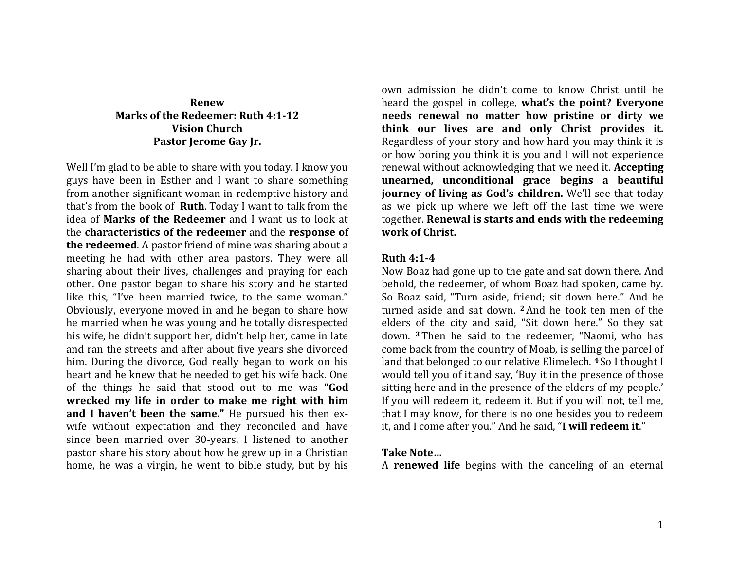# **Renew Marks of the Redeemer: Ruth 4:1-12 Vision Church Pastor Jerome Gay Jr.**

Well I'm glad to be able to share with you today. I know you guys have been in Esther and I want to share something from another significant woman in redemptive history and that's from the book of **Ruth**. Today I want to talk from the idea of **Marks of the Redeemer** and I want us to look at the **characteristics of the redeemer** and the **response of the redeemed**. A pastor friend of mine was sharing about a meeting he had with other area pastors. They were all sharing about their lives, challenges and praying for each other. One pastor began to share his story and he started like this, "I've been married twice, to the same woman." Obviously, everyone moved in and he began to share how he married when he was young and he totally disrespected his wife, he didn't support her, didn't help her, came in late and ran the streets and after about five years she divorced him. During the divorce, God really began to work on his heart and he knew that he needed to get his wife back. One of the things he said that stood out to me was **"God wrecked my life in order to make me right with him and I haven't been the same."** He pursued his then exwife without expectation and they reconciled and have since been married over 30-years. I listened to another pastor share his story about how he grew up in a Christian home, he was a virgin, he went to bible study, but by his

own admission he didn't come to know Christ until he heard the gospel in college, **what's the point? Everyone needs renewal no matter how pristine or dirty we think our lives are and only Christ provides it.**  Regardless of your story and how hard you may think it is or how boring you think it is you and I will not experience renewal without acknowledging that we need it. **Accepting unearned, unconditional grace begins a beautiful journey of living as God's children.** We'll see that today as we pick up where we left off the last time we were together. **Renewal is starts and ends with the redeeming work of Christ.**

#### **Ruth 4:1-4**

Now Boaz had gone up to the gate and sat down there. And behold, the redeemer, of whom Boaz had spoken, came by. So Boaz said, "Turn aside, friend; sit down here." And he turned aside and sat down. **2**And he took ten men of the elders of the city and said, "Sit down here." So they sat down. **<sup>3</sup>** Then he said to the redeemer, "Naomi, who has come back from the country of Moab, is selling the parcel of land that belonged to our relative Elimelech. **<sup>4</sup>** So I thought I would tell you of it and say, 'Buy it in the presence of those sitting here and in the presence of the elders of my people.' If you will redeem it, redeem it. But if you will not, tell me, that I may know, for there is no one besides you to redeem it, and I come after you." And he said, "**I will redeem it**."

### **Take Note…**

A **renewed life** begins with the canceling of an eternal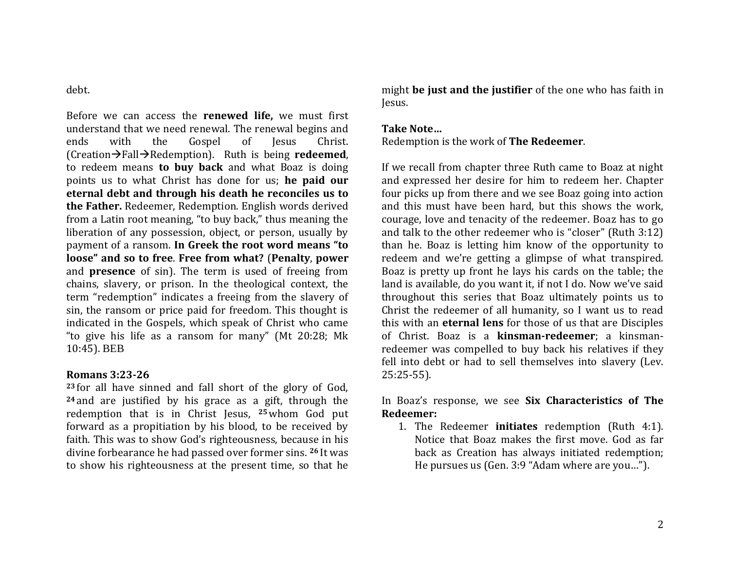## debt.

Before we can access the **renewed life,** we must first understand that we need renewal. The renewal begins and ends with the Gospel of Jesus Christ.  $(Cretion\rightarrow Fall\rightarrowRedemption)$ . Ruth is being **redeemed**, to redeem means **to buy back** and what Boaz is doing points us to what Christ has done for us; **he paid our eternal debt and through his death he reconciles us to the Father.** Redeemer, Redemption. English words derived from a Latin root meaning, "to buy back," thus meaning the liberation of any possession, object, or person, usually by payment of a ransom. **In Greek the root word means "to loose" and so to free**. **Free from what?** (**Penalty**, **power** and **presence** of sin). The term is used of freeing from chains, slavery, or prison. In the theological context, the term "redemption" indicates a freeing from the slavery of sin, the ransom or price paid for freedom. This thought is indicated in the Gospels, which speak of Christ who came "to give his life as a ransom for many" (Mt 20:28; Mk 10:45). BEB

### **Romans 3:23-26**

**<sup>23</sup>** for all have sinned and fall short of the glory of God, **<sup>24</sup>** and are justified by his grace as a gift, through the redemption that is in Christ Jesus, **25**whom God put forward as a propitiation by his blood, to be received by faith. This was to show God's righteousness, because in his divine forbearance he had passed over former sins. **<sup>26</sup>** It was to show his righteousness at the present time, so that he might **be just and the justifier** of the one who has faith in Jesus.

## **Take Note…**

Redemption is the work of **The Redeemer**.

If we recall from chapter three Ruth came to Boaz at night and expressed her desire for him to redeem her. Chapter four picks up from there and we see Boaz going into action and this must have been hard, but this shows the work, courage, love and tenacity of the redeemer. Boaz has to go and talk to the other redeemer who is "closer" (Ruth 3:12) than he. Boaz is letting him know of the opportunity to redeem and we're getting a glimpse of what transpired. Boaz is pretty up front he lays his cards on the table; the land is available, do you want it, if not I do. Now we've said throughout this series that Boaz ultimately points us to Christ the redeemer of all humanity, so I want us to read this with an **eternal lens** for those of us that are Disciples of Christ. Boaz is a **kinsman-redeemer**; a kinsmanredeemer was compelled to buy back his relatives if they fell into debt or had to sell themselves into slavery (Lev. 25:25-55).

# In Boaz's response, we see **Six Characteristics of The Redeemer:**

1. The Redeemer **initiates** redemption (Ruth 4:1). Notice that Boaz makes the first move. God as far back as Creation has always initiated redemption; He pursues us (Gen. 3:9 "Adam where are you…").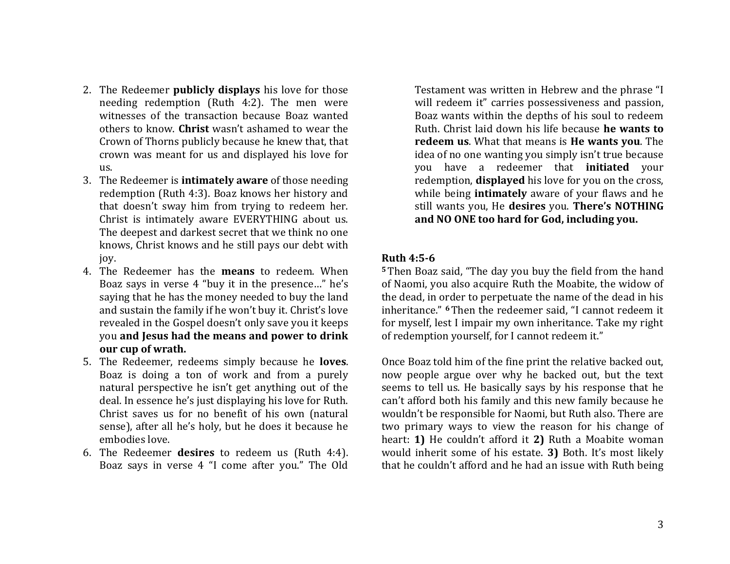- 2. The Redeemer **publicly displays** his love for those needing redemption (Ruth 4:2). The men were witnesses of the transaction because Boaz wanted others to know. **Christ** wasn't ashamed to wear the Crown of Thorns publicly because he knew that, that crown was meant for us and displayed his love for us.
- 3. The Redeemer is **intimately aware** of those needing redemption (Ruth 4:3). Boaz knows her history and that doesn't sway him from trying to redeem her. Christ is intimately aware EVERYTHING about us. The deepest and darkest secret that we think no one knows, Christ knows and he still pays our debt with joy.
- 4. The Redeemer has the **means** to redeem. When Boaz says in verse 4 "buy it in the presence…" he's saying that he has the money needed to buy the land and sustain the family if he won't buy it. Christ's love revealed in the Gospel doesn't only save you it keeps you **and Jesus had the means and power to drink our cup of wrath.**
- 5. The Redeemer, redeems simply because he **loves**. Boaz is doing a ton of work and from a purely natural perspective he isn't get anything out of the deal. In essence he's just displaying his love for Ruth. Christ saves us for no benefit of his own (natural sense), after all he's holy, but he does it because he embodies love.
- 6. The Redeemer **desires** to redeem us (Ruth 4:4). Boaz says in verse 4 "I come after you." The Old

Testament was written in Hebrew and the phrase "I will redeem it" carries possessiveness and passion, Boaz wants within the depths of his soul to redeem Ruth. Christ laid down his life because **he wants to redeem us**. What that means is **He wants you**. The idea of no one wanting you simply isn't true because you have a redeemer that **initiated** your redemption, **displayed** his love for you on the cross, while being **intimately** aware of your flaws and he still wants you, He **desires** you. **There's NOTHING and NO ONE too hard for God, including you.**

### **Ruth 4:5-6**

**<sup>5</sup>** Then Boaz said, "The day you buy the field from the hand of Naomi, you also acquire Ruth the Moabite, the widow of the dead, in order to perpetuate the name of the dead in his inheritance." **6**Then the redeemer said, "I cannot redeem it for myself, lest I impair my own inheritance. Take my right of redemption yourself, for I cannot redeem it."

Once Boaz told him of the fine print the relative backed out, now people argue over why he backed out, but the text seems to tell us. He basically says by his response that he can't afford both his family and this new family because he wouldn't be responsible for Naomi, but Ruth also. There are two primary ways to view the reason for his change of heart: **1)** He couldn't afford it **2)** Ruth a Moabite woman would inherit some of his estate. **3)** Both. It's most likely that he couldn't afford and he had an issue with Ruth being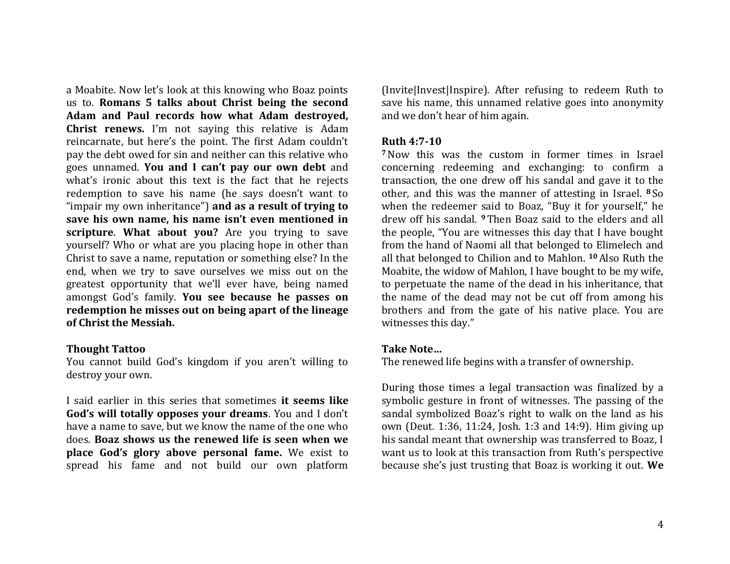a Moabite. Now let's look at this knowing who Boaz points us to. **Romans 5 talks about Christ being the second Adam and Paul records how what Adam destroyed, Christ renews.** I'm not saying this relative is Adam reincarnate, but here's the point. The first Adam couldn't pay the debt owed for sin and neither can this relative who goes unnamed. **You and I can't pay our own debt** and what's ironic about this text is the fact that he rejects redemption to save his name (he says doesn't want to "impair my own inheritance") **and as a result of trying to save his own name, his name isn't even mentioned in scripture**. **What about you?** Are you trying to save yourself? Who or what are you placing hope in other than Christ to save a name, reputation or something else? In the end, when we try to save ourselves we miss out on the greatest opportunity that we'll ever have, being named amongst God's family. **You see because he passes on redemption he misses out on being apart of the lineage of Christ the Messiah.** 

#### **Thought Tattoo**

You cannot build God's kingdom if you aren't willing to destroy your own.

I said earlier in this series that sometimes **it seems like God's will totally opposes your dreams**. You and I don't have a name to save, but we know the name of the one who does. **Boaz shows us the renewed life is seen when we place God's glory above personal fame.** We exist to spread his fame and not build our own platform (Invite|Invest|Inspire). After refusing to redeem Ruth to save his name, this unnamed relative goes into anonymity and we don't hear of him again.

#### **Ruth 4:7-10**

**<sup>7</sup>**Now this was the custom in former times in Israel concerning redeeming and exchanging: to confirm a transaction, the one drew off his sandal and gave it to the other, and this was the manner of attesting in Israel. **<sup>8</sup>** So when the redeemer said to Boaz, "Buy it for yourself," he drew off his sandal. **<sup>9</sup>** Then Boaz said to the elders and all the people, "You are witnesses this day that I have bought from the hand of Naomi all that belonged to Elimelech and all that belonged to Chilion and to Mahlon. **10**Also Ruth the Moabite, the widow of Mahlon, I have bought to be my wife, to perpetuate the name of the dead in his inheritance, that the name of the dead may not be cut off from among his brothers and from the gate of his native place. You are witnesses this day."

### **Take Note…**

The renewed life begins with a transfer of ownership.

During those times a legal transaction was finalized by a symbolic gesture in front of witnesses. The passing of the sandal symbolized Boaz's right to walk on the land as his own (Deut. 1:36, 11:24, Josh. 1:3 and 14:9). Him giving up his sandal meant that ownership was transferred to Boaz, I want us to look at this transaction from Ruth's perspective because she's just trusting that Boaz is working it out. **We**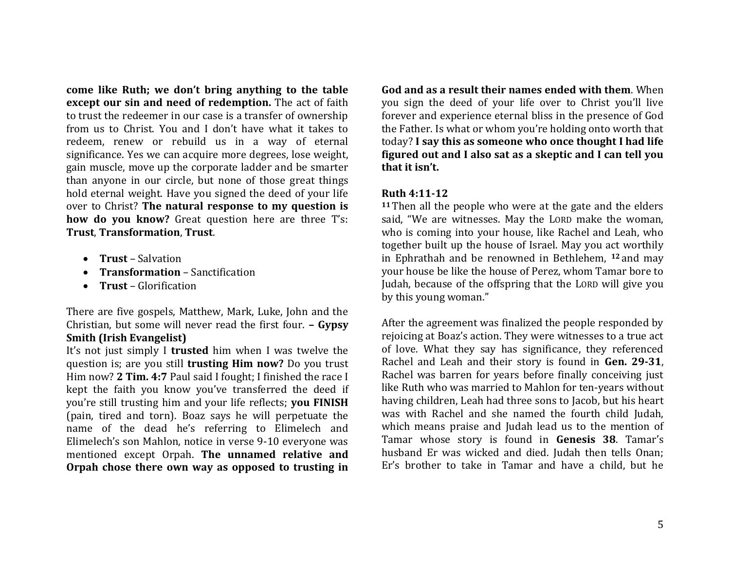**come like Ruth; we don't bring anything to the table except our sin and need of redemption.** The act of faith to trust the redeemer in our case is a transfer of ownership from us to Christ. You and I don't have what it takes to redeem, renew or rebuild us in a way of eternal significance. Yes we can acquire more degrees, lose weight, gain muscle, move up the corporate ladder and be smarter than anyone in our circle, but none of those great things hold eternal weight. Have you signed the deed of your life over to Christ? **The natural response to my question is how do you know?** Great question here are three T's: **Trust**, **Transformation**, **Trust**.

- **Trust** Salvation
- **Transformation** Sanctification
- **Trust** Glorification

There are five gospels, Matthew, Mark, Luke, John and the Christian, but some will never read the first four. **– Gypsy Smith (Irish Evangelist)**

It's not just simply I **trusted** him when I was twelve the question is; are you still **trusting Him now?** Do you trust Him now? **2 Tim. 4:7** Paul said I fought; I finished the race I kept the faith you know you've transferred the deed if you're still trusting him and your life reflects; **you FINISH** (pain, tired and torn). Boaz says he will perpetuate the name of the dead he's referring to Elimelech and Elimelech's son Mahlon, notice in verse 9-10 everyone was mentioned except Orpah. **The unnamed relative and Orpah chose there own way as opposed to trusting in** 

**God and as a result their names ended with them**. When you sign the deed of your life over to Christ you'll live forever and experience eternal bliss in the presence of God the Father. Is what or whom you're holding onto worth that today? **I say this as someone who once thought I had life figured out and I also sat as a skeptic and I can tell you that it isn't.**

# **Ruth 4:11-12**

**<sup>11</sup>** Then all the people who were at the gate and the elders said, "We are witnesses. May the LORD make the woman, who is coming into your house, like Rachel and Leah, who together built up the house of Israel. May you act worthily in Ephrathah and be renowned in Bethlehem, **<sup>12</sup>** and may your house be like the house of Perez, whom Tamar bore to Judah, because of the offspring that the LORD will give you by this young woman."

After the agreement was finalized the people responded by rejoicing at Boaz's action. They were witnesses to a true act of love. What they say has significance, they referenced Rachel and Leah and their story is found in **Gen. 29-31**, Rachel was barren for years before finally conceiving just like Ruth who was married to Mahlon for ten-years without having children, Leah had three sons to Jacob, but his heart was with Rachel and she named the fourth child Judah, which means praise and Judah lead us to the mention of Tamar whose story is found in **Genesis 38**. Tamar's husband Er was wicked and died. Judah then tells Onan; Er's brother to take in Tamar and have a child, but he